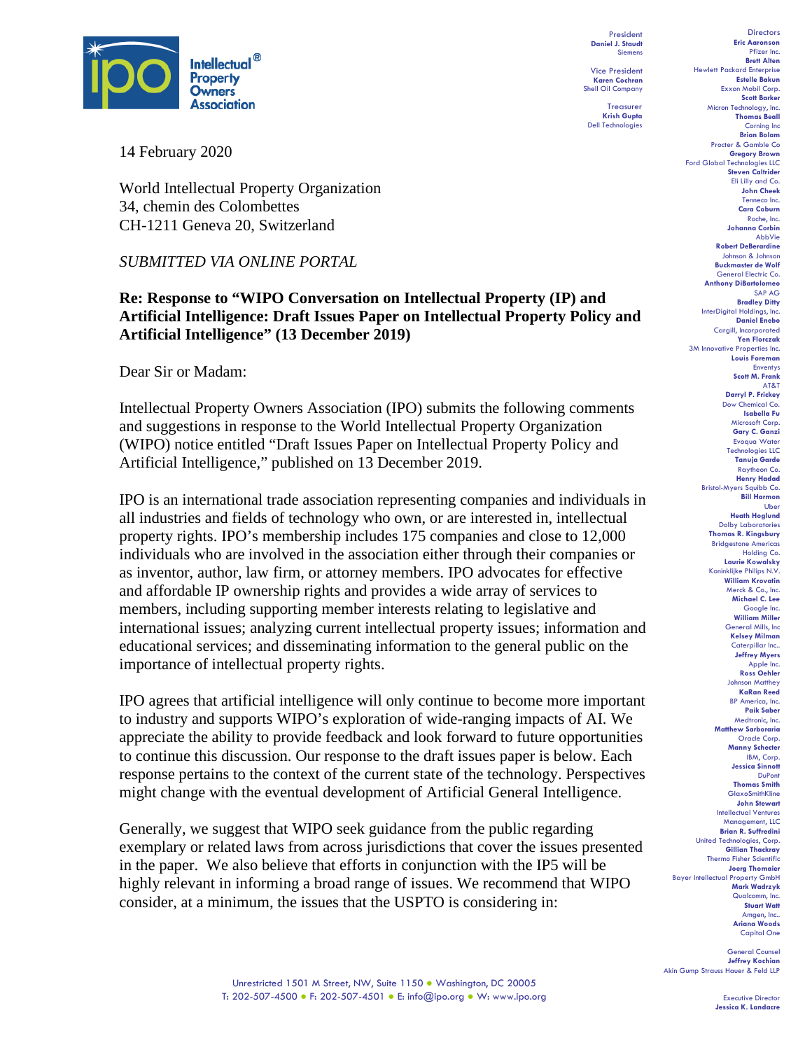

14 February 2020

World Intellectual Property Organization 34, chemin des Colombettes CH-1211 Geneva 20, Switzerland

#### *SUBMITTED VIA ONLINE PORTAL*

### **Re: Response to "WIPO Conversation on Intellectual Property (IP) and Artificial Intelligence: Draft Issues Paper on Intellectual Property Policy and Artificial Intelligence" (13 December 2019)**

Dear Sir or Madam:

Intellectual Property Owners Association (IPO) submits the following comments and suggestions in response to the World Intellectual Property Organization (WIPO) notice entitled "Draft Issues Paper on Intellectual Property Policy and Artificial Intelligence," published on 13 December 2019.

IPO is an international trade association representing companies and individuals in all industries and fields of technology who own, or are interested in, intellectual property rights. IPO's membership includes 175 companies and close to 12,000 individuals who are involved in the association either through their companies or as inventor, author, law firm, or attorney members. IPO advocates for effective and affordable IP ownership rights and provides a wide array of services to members, including supporting member interests relating to legislative and international issues; analyzing current intellectual property issues; information and educational services; and disseminating information to the general public on the importance of intellectual property rights.

IPO agrees that artificial intelligence will only continue to become more important to industry and supports WIPO's exploration of wide-ranging impacts of AI. We appreciate the ability to provide feedback and look forward to future opportunities to continue this discussion. Our response to the draft issues paper is below. Each response pertains to the context of the current state of the technology. Perspectives might change with the eventual development of Artificial General Intelligence.

Generally, we suggest that WIPO seek guidance from the public regarding exemplary or related laws from across jurisdictions that cover the issues presented in the paper. We also believe that efforts in conjunction with the IP5 will be highly relevant in informing a broad range of issues. We recommend that WIPO consider, at a minimum, the issues that the USPTO is considering in:

President **Daniel J. Staudt** Siemens

Vice President **Karen Cochran** Shell Oil Company

Treasurer **Krish Gupta** Dell Technologies

**Directors Eric Aaronson**  Pfizer Inc. **Brett Alten** Hewlett Packard Enterprise **Estelle Bakun** Exxon Mobil Corp. **Scott Barker** Micron Technology, Inc. **Thomas Beall** Corning Inc **Brian Bolam** Procter & Gamble Co **Gregory Brown** Ford Global Technologies LLC **Steven Caltrider** Eli Lilly and Co. **John Cheek** Tenneco Inc. **Cara Coburn** Roche, Inc. **Johanna Corbin** AbbVie **Robert DeBerardine** Johnson & Johnson **Buckmaster de Wolf** General Electric Co. **Anthony DiBartolomeo** SAP AG **Bradley Ditty** InterDigital Holdings, Inc. **Daniel Enebo** Cargill, Incorporated **Yen Florczak** 3M Innovative Properties Inc. **Louis Foreman** Enventys **Scott M. Frank** AT&T **Darryl P. Frickey** Dow Chemical Co. **Isabella Fu**  Microsoft Corp. **Gary C. Ganzi** Evoqua Water Technologies LLC **Tanuja Garde** Raytheon Co. **Henry Hadad** Bristol-Myers Squibb Co. **Bill Harmon** Uber **Heath Hoglund** Dolby Laboratories **Thomas R. Kingsbury** Bridgestone Americas Holding Co. **Laurie Kowalsky** Koninklijke Philips N.V. **William Krovatin** Merck & Co., Inc. **Michael C. Lee** Google Inc. **William Miller** General Mills, Inc **Kelsey Milman** Caterpillar Inc.. **Jeffrey Myers** Apple Inc. **Ross Oehler** Johnson Matthey **KaRan Reed** BP America, Inc. **Paik Saber** Medtronic, Inc. **Matthew Sarboraria** Oracle Corp. **Manny Schecter** IBM, Corp. **Jessica Sinnott** DuPont **Thomas Smith GlaxoSmithKline John Stewart** Intellectual Ventures Management, LLC **Brian R. Suffredini** United Technologies, Corp. **Gillian Thackray** Thermo Fisher Scientific **Joerg Thomaier** Bayer Intellectual Property GmbH **Mark Wadrzyk** Qualcomm, Inc. **Stuart Watt** Amgen, Inc.. **Ariana Woods** Capital One

General Co **Jeffrey Kochian** Akin Gump Strauss Hauer & Feld LLP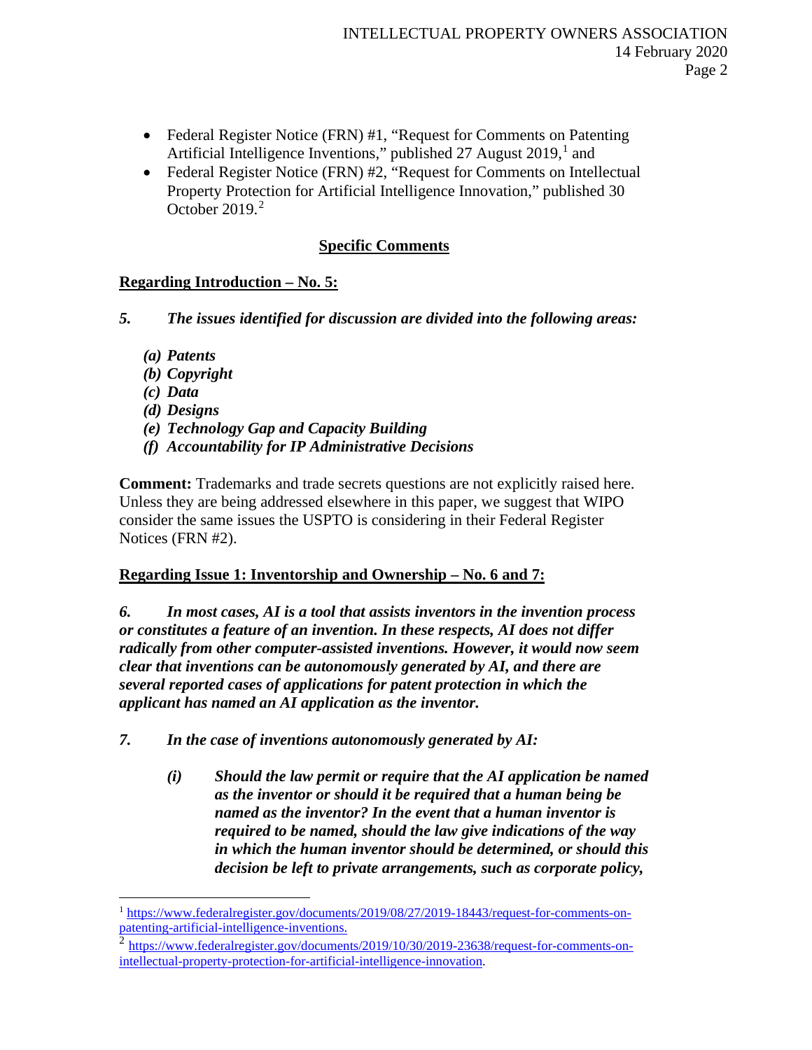- Federal Register Notice (FRN) #1, "Request for Comments on Patenting Artificial Intelligence Inventions," published 27 August 20[1](#page-1-0)9,<sup>1</sup> and
- Federal Register Notice (FRN) #2, "Request for Comments on Intellectual Property Protection for Artificial Intelligence Innovation," published 30 October 2019. [2](#page-1-1)

## **Specific Comments**

## **Regarding Introduction – No. 5:**

- *5. The issues identified for discussion are divided into the following areas:*
	- *(a) Patents*
	- *(b) Copyright*
	- *(c) Data*
	- *(d) Designs*
	- *(e) Technology Gap and Capacity Building*
	- *(f) Accountability for IP Administrative Decisions*

**Comment:** Trademarks and trade secrets questions are not explicitly raised here. Unless they are being addressed elsewhere in this paper, we suggest that WIPO consider the same issues the USPTO is considering in their Federal Register Notices (FRN #2).

### **Regarding Issue 1: Inventorship and Ownership – No. 6 and 7:**

*6. In most cases, AI is a tool that assists inventors in the invention process or constitutes a feature of an invention. In these respects, AI does not differ radically from other computer-assisted inventions. However, it would now seem clear that inventions can be autonomously generated by AI, and there are several reported cases of applications for patent protection in which the applicant has named an AI application as the inventor.* 

- *7. In the case of inventions autonomously generated by AI:*
	- *(i) Should the law permit or require that the AI application be named as the inventor or should it be required that a human being be named as the inventor? In the event that a human inventor is required to be named, should the law give indications of the way in which the human inventor should be determined, or should this decision be left to private arrangements, such as corporate policy,*

<span id="page-1-0"></span><sup>&</sup>lt;sup>1</sup> [https://www.federalregister.gov/documents/2019/08/27/2019-18443/request-for-comments-on](https://www.federalregister.gov/documents/2019/08/27/2019-18443/request-for-comments-on-patenting-artificial-intelligence-inventions)[patenting-artificial-intelligence-inventions.](https://www.federalregister.gov/documents/2019/08/27/2019-18443/request-for-comments-on-patenting-artificial-intelligence-inventions)

<span id="page-1-1"></span><sup>2</sup> [https://www.federalregister.gov/documents/2019/10/30/2019-23638/request-for-comments-on](https://www.federalregister.gov/documents/2019/10/30/2019-23638/request-for-comments-on-intellectual-property-protection-for-artificial-intelligence-innovation)[intellectual-property-protection-for-artificial-intelligence-innovation.](https://www.federalregister.gov/documents/2019/10/30/2019-23638/request-for-comments-on-intellectual-property-protection-for-artificial-intelligence-innovation)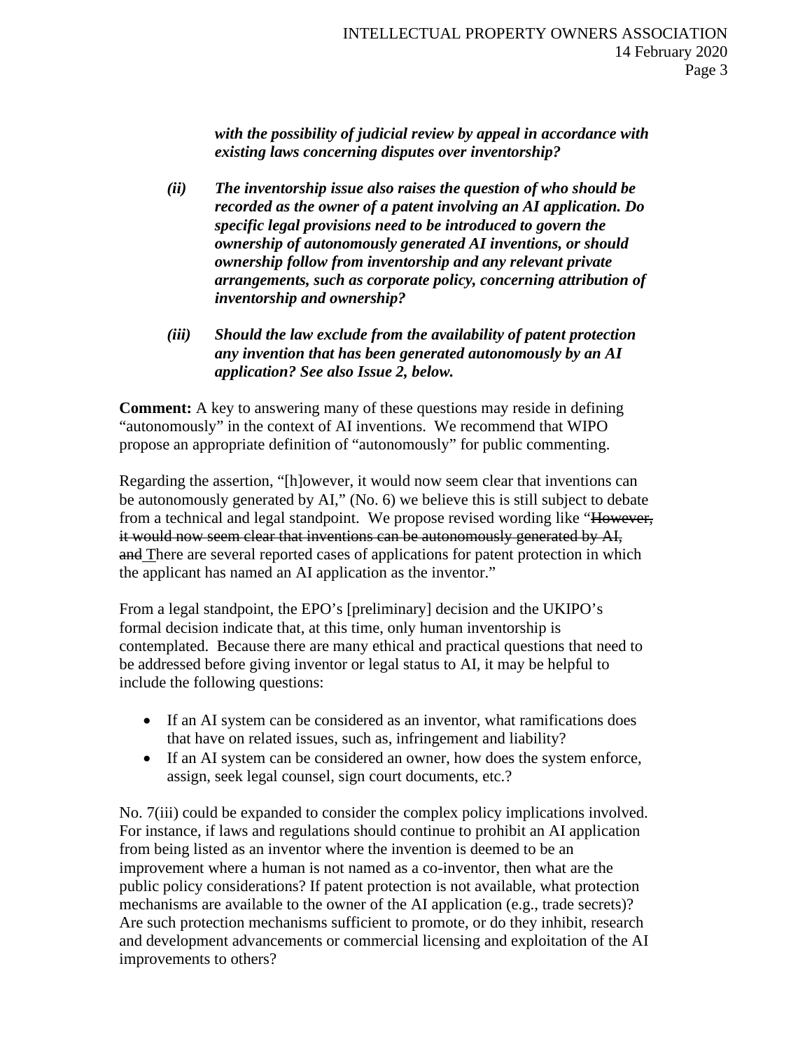*with the possibility of judicial review by appeal in accordance with existing laws concerning disputes over inventorship?*

- *(ii) The inventorship issue also raises the question of who should be recorded as the owner of a patent involving an AI application. Do specific legal provisions need to be introduced to govern the ownership of autonomously generated AI inventions, or should ownership follow from inventorship and any relevant private arrangements, such as corporate policy, concerning attribution of inventorship and ownership?*
- *(iii) Should the law exclude from the availability of patent protection any invention that has been generated autonomously by an AI application? See also Issue 2, below.*

**Comment:** A key to answering many of these questions may reside in defining "autonomously" in the context of AI inventions. We recommend that WIPO propose an appropriate definition of "autonomously" for public commenting.

Regarding the assertion, "[h]owever, it would now seem clear that inventions can be autonomously generated by AI," (No. 6) we believe this is still subject to debate from a technical and legal standpoint. We propose revised wording like "However, it would now seem clear that inventions can be autonomously generated by AI, and There are several reported cases of applications for patent protection in which the applicant has named an AI application as the inventor."

From a legal standpoint, the EPO's [preliminary] decision and the UKIPO's formal decision indicate that, at this time, only human inventorship is contemplated. Because there are many ethical and practical questions that need to be addressed before giving inventor or legal status to AI, it may be helpful to include the following questions:

- If an AI system can be considered as an inventor, what ramifications does that have on related issues, such as, infringement and liability?
- If an AI system can be considered an owner, how does the system enforce, assign, seek legal counsel, sign court documents, etc.?

No. 7(iii) could be expanded to consider the complex policy implications involved. For instance, if laws and regulations should continue to prohibit an AI application from being listed as an inventor where the invention is deemed to be an improvement where a human is not named as a co-inventor, then what are the public policy considerations? If patent protection is not available, what protection mechanisms are available to the owner of the AI application (e.g., trade secrets)? Are such protection mechanisms sufficient to promote, or do they inhibit, research and development advancements or commercial licensing and exploitation of the AI improvements to others?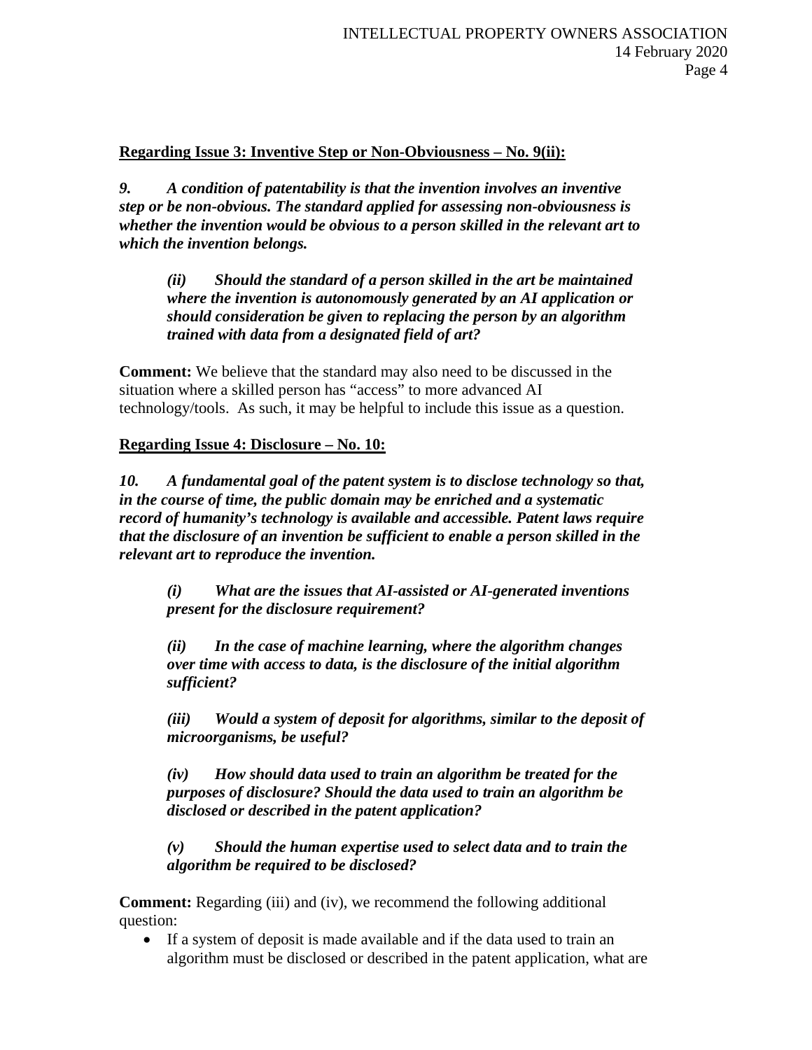### **Regarding Issue 3: Inventive Step or Non-Obviousness – No. 9(ii):**

*9. A condition of patentability is that the invention involves an inventive step or be non-obvious. The standard applied for assessing non-obviousness is whether the invention would be obvious to a person skilled in the relevant art to which the invention belongs.* 

*(ii) Should the standard of a person skilled in the art be maintained where the invention is autonomously generated by an AI application or should consideration be given to replacing the person by an algorithm trained with data from a designated field of art?*

**Comment:** We believe that the standard may also need to be discussed in the situation where a skilled person has "access" to more advanced AI technology/tools. As such, it may be helpful to include this issue as a question.

### **Regarding Issue 4: Disclosure – No. 10:**

*10. A fundamental goal of the patent system is to disclose technology so that, in the course of time, the public domain may be enriched and a systematic record of humanity's technology is available and accessible. Patent laws require that the disclosure of an invention be sufficient to enable a person skilled in the relevant art to reproduce the invention.* 

*(i) What are the issues that AI-assisted or AI-generated inventions present for the disclosure requirement?* 

*(ii) In the case of machine learning, where the algorithm changes over time with access to data, is the disclosure of the initial algorithm sufficient?*

*(iii) Would a system of deposit for algorithms, similar to the deposit of microorganisms, be useful?*

*(iv) How should data used to train an algorithm be treated for the purposes of disclosure? Should the data used to train an algorithm be disclosed or described in the patent application?*

*(v) Should the human expertise used to select data and to train the algorithm be required to be disclosed?*

**Comment:** Regarding (iii) and (iv), we recommend the following additional question:

• If a system of deposit is made available and if the data used to train an algorithm must be disclosed or described in the patent application, what are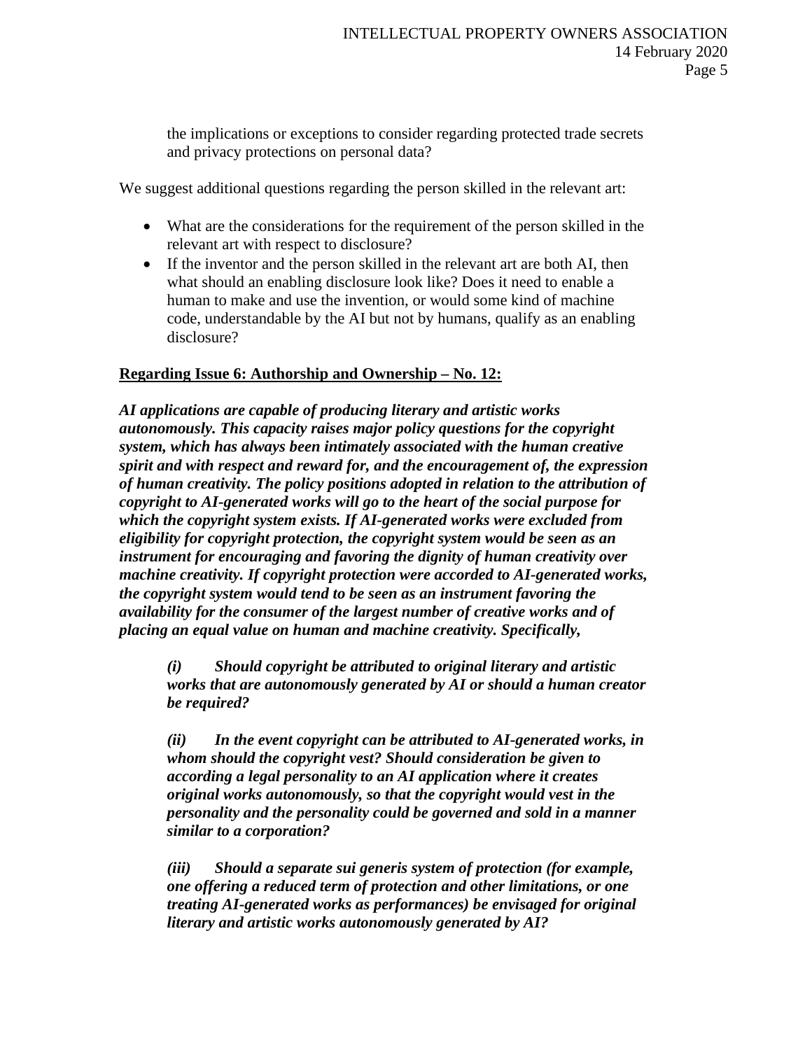the implications or exceptions to consider regarding protected trade secrets and privacy protections on personal data?

We suggest additional questions regarding the person skilled in the relevant art:

- What are the considerations for the requirement of the person skilled in the relevant art with respect to disclosure?
- If the inventor and the person skilled in the relevant art are both AI, then what should an enabling disclosure look like? Does it need to enable a human to make and use the invention, or would some kind of machine code, understandable by the AI but not by humans, qualify as an enabling disclosure?

#### **Regarding Issue 6: Authorship and Ownership – No. 12:**

*AI applications are capable of producing literary and artistic works autonomously. This capacity raises major policy questions for the copyright system, which has always been intimately associated with the human creative spirit and with respect and reward for, and the encouragement of, the expression of human creativity. The policy positions adopted in relation to the attribution of copyright to AI-generated works will go to the heart of the social purpose for which the copyright system exists. If AI-generated works were excluded from eligibility for copyright protection, the copyright system would be seen as an instrument for encouraging and favoring the dignity of human creativity over machine creativity. If copyright protection were accorded to AI-generated works, the copyright system would tend to be seen as an instrument favoring the availability for the consumer of the largest number of creative works and of placing an equal value on human and machine creativity. Specifically,* 

*(i) Should copyright be attributed to original literary and artistic works that are autonomously generated by AI or should a human creator be required?* 

*(ii) In the event copyright can be attributed to AI-generated works, in whom should the copyright vest? Should consideration be given to according a legal personality to an AI application where it creates original works autonomously, so that the copyright would vest in the personality and the personality could be governed and sold in a manner similar to a corporation?*

*(iii) Should a separate sui generis system of protection (for example, one offering a reduced term of protection and other limitations, or one treating AI-generated works as performances) be envisaged for original literary and artistic works autonomously generated by AI?*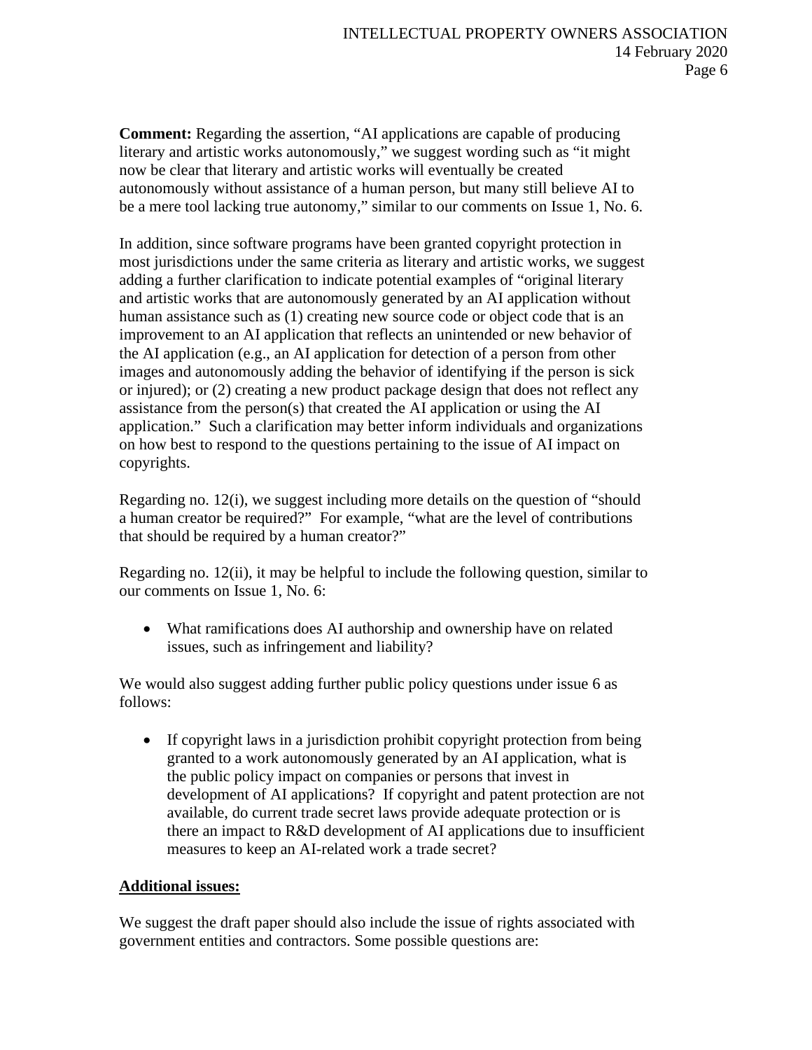**Comment:** Regarding the assertion, "AI applications are capable of producing literary and artistic works autonomously," we suggest wording such as "it might now be clear that literary and artistic works will eventually be created autonomously without assistance of a human person, but many still believe AI to be a mere tool lacking true autonomy," similar to our comments on Issue 1, No. 6.

In addition, since software programs have been granted copyright protection in most jurisdictions under the same criteria as literary and artistic works, we suggest adding a further clarification to indicate potential examples of "original literary and artistic works that are autonomously generated by an AI application without human assistance such as (1) creating new source code or object code that is an improvement to an AI application that reflects an unintended or new behavior of the AI application (e.g., an AI application for detection of a person from other images and autonomously adding the behavior of identifying if the person is sick or injured); or (2) creating a new product package design that does not reflect any assistance from the person(s) that created the AI application or using the AI application." Such a clarification may better inform individuals and organizations on how best to respond to the questions pertaining to the issue of AI impact on copyrights.

Regarding no. 12(i), we suggest including more details on the question of "should a human creator be required?" For example, "what are the level of contributions that should be required by a human creator?"

Regarding no. 12(ii), it may be helpful to include the following question, similar to our comments on Issue 1, No. 6:

• What ramifications does AI authorship and ownership have on related issues, such as infringement and liability?

We would also suggest adding further public policy questions under issue 6 as follows:

• If copyright laws in a jurisdiction prohibit copyright protection from being granted to a work autonomously generated by an AI application, what is the public policy impact on companies or persons that invest in development of AI applications? If copyright and patent protection are not available, do current trade secret laws provide adequate protection or is there an impact to R&D development of AI applications due to insufficient measures to keep an AI-related work a trade secret?

# **Additional issues:**

We suggest the draft paper should also include the issue of rights associated with government entities and contractors. Some possible questions are: